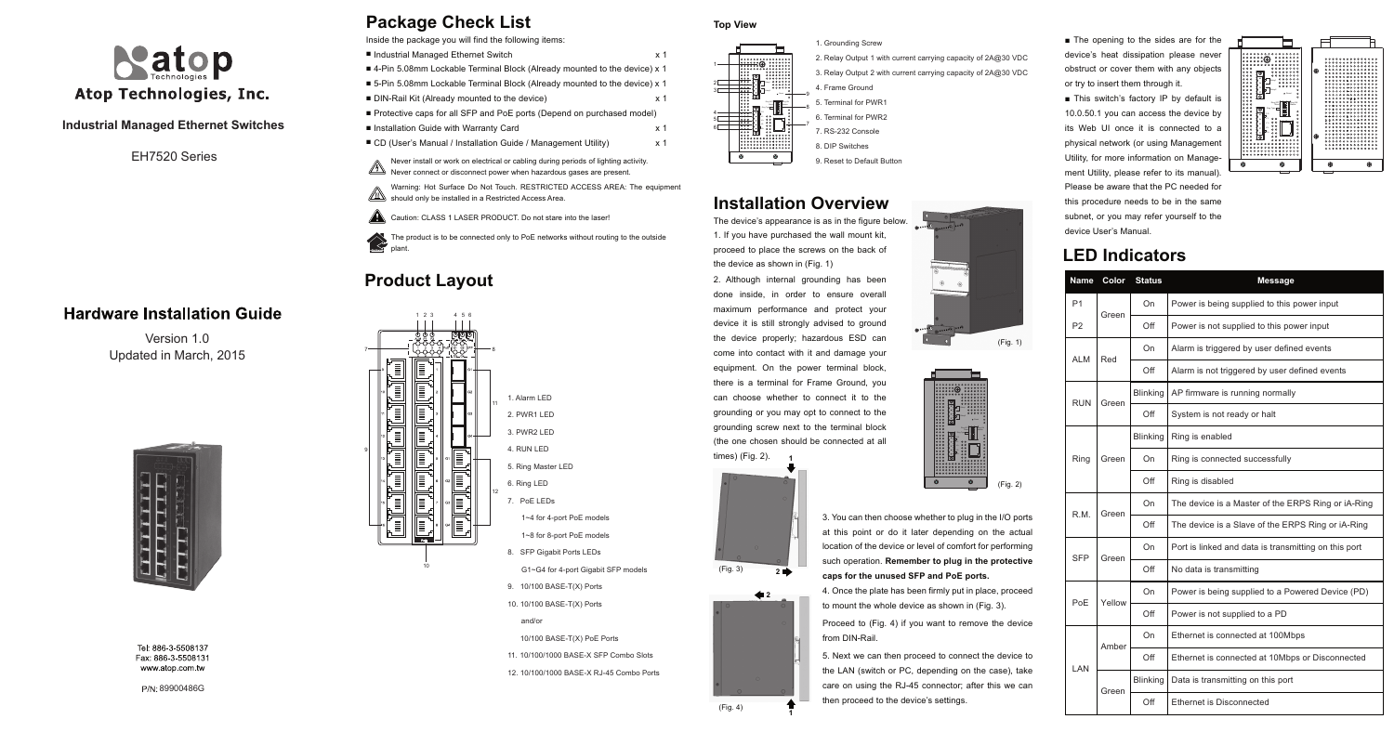# **Package Check List**

### **Installation Overview**

### **Product Layout**

Version 1.0 Updated in March, 2015



Tel: 886-3-5508137 Fax: 886-3-5508131 www.atop.com.tw

EH7520 Series

#### **Hardware Installation Guide**

89900486G



#### **Industrial Managed Ethernet Switches**

| Inside the package you will find the following items:                      |     |
|----------------------------------------------------------------------------|-----|
| Industrial Managed Ethernet Switch                                         | x 1 |
| ■ 4-Pin 5.08mm Lockable Terminal Block (Already mounted to the device) x 1 |     |
| ■ 5-Pin 5.08mm Lockable Terminal Block (Already mounted to the device) x 1 |     |
| ■ DIN-Rail Kit (Already mounted to the device)                             | x 1 |
| ■ Protective caps for all SFP and PoE ports (Depend on purchased model)    |     |
| Installation Guide with Warranty Card                                      | x 1 |
| ■ CD (User's Manual / Installation Guide / Management Utility)             | x 1 |
|                                                                            |     |

■ The opening to the sides are for the device's heat dissipation please never obstruct or cover them with any objects or try to insert them through it.

Proceed to (Fig. 4) if you want to remove the device from DIN-Rail.

■ This switch's factory IP by default is 10.0.50.1 you can access the device by its Web UI once it is connected to a physical network (or using Management Utility, for more information on Management Utility, please refer to its manual). Please be aware that the PC needed for this procedure needs to be in the same subnet, or you may refer yourself to the

5. Next we can then proceed to connect the device to the LAN (switch or PC, depending on the case), take care on using the RJ-45 connector; after this we can then proceed to the device's settings.

The device's appearance is as in the figure below. device User's Manual. 1. If you have purchased the wall mount kit, proceed to place the screws on the back of the device as shown in (Fig. 1)

Warning: Hot Surface Do Not Touch. RESTRICTED ACCESS AREA: The equipment should only be installed in a Restricted Access Area.

The product is to be connected only to PoE networks without routing to the outside <u>**In order**</u> plant.

3. You can then choose whether to plug in the I/O ports at this point or do it later depending on the actual location of the device or level of comfort for performing such operation. **Remember to plug in the protective caps for the unused SFP and PoE ports.**

4. Once the plate has been firmly put in place, proceed to mount the whole device as shown in (Fig. 3).

Never install or work on electrical or cabling during periods of lighting activity. Never connect or disconnect power when hazardous gases are present.



2. Although internal grounding has been done inside, in order to ensure overall maximum performance and protect your device it is still strongly advised to ground the device properly; hazardous ESD can come into contact with it and damage your equipment. On the power terminal block, there is a terminal for Frame Ground, you can choose whether to connect it to the grounding or you may opt to connect to the grounding screw next to the terminal block (the one chosen should be connected at all times) (Fig. 2). **1**

 10/100 BASE-T(X) PoE Ports 11. 10/100/1000 BASE-X SFP Combo Slots 12. 10/100/1000 BASE-X RJ-45 Combo Ports





### **LED Indicators**











| Name           | Color  | <b>Status</b>   | <b>Message</b>                                       |  |  |
|----------------|--------|-----------------|------------------------------------------------------|--|--|
| P <sub>1</sub> | Green  | On              | Power is being supplied to this power input          |  |  |
| P <sub>2</sub> |        | Off             | Power is not supplied to this power input            |  |  |
| ALM            | Red    | On              | Alarm is triggered by user defined events            |  |  |
|                |        | Off             | Alarm is not triggered by user defined events        |  |  |
| <b>RUN</b>     | Green  | <b>Blinking</b> | AP firmware is running normally                      |  |  |
|                |        | Off             | System is not ready or halt                          |  |  |
| Ring           | Green  | <b>Blinking</b> | Ring is enabled                                      |  |  |
|                |        | On              | Ring is connected successfully                       |  |  |
|                |        | Off             | Ring is disabled                                     |  |  |
| R.M.           | Green  | On              | The device is a Master of the ERPS Ring or iA-Ring   |  |  |
|                |        | Off             | The device is a Slave of the ERPS Ring or iA-Ring    |  |  |
| <b>SFP</b>     | Green  | On              | Port is linked and data is transmitting on this port |  |  |
|                |        | Off             | No data is transmitting                              |  |  |
| PoE            | Yellow | On              | Power is being supplied to a Powered Device (PD)     |  |  |
|                |        | Off             | Power is not supplied to a PD                        |  |  |
| LAN            | Amber  | On              | Ethernet is connected at 100Mbps                     |  |  |
|                |        | Off             | Ethernet is connected at 10Mbps or Disconnected      |  |  |
|                | Green  | <b>Blinking</b> | Data is transmitting on this port                    |  |  |
|                |        | Off             | Ethernet is Disconnected                             |  |  |

**1**



1

2 3